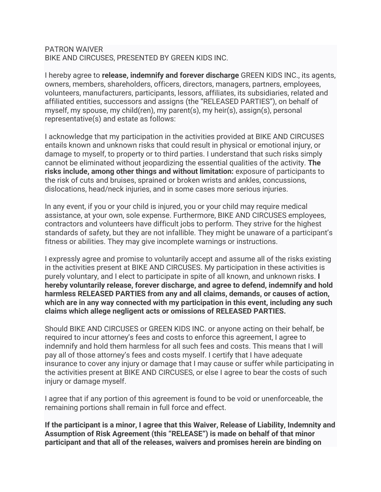## PATRON WAIVER BIKE AND CIRCUSES, PRESENTED BY GREEN KIDS INC.

I hereby agree to **release, indemnify and forever discharge** GREEN KIDS INC., its agents, owners, members, shareholders, officers, directors, managers, partners, employees, volunteers, manufacturers, participants, lessors, affiliates, its subsidiaries, related and affiliated entities, successors and assigns (the "RELEASED PARTIES"), on behalf of myself, my spouse, my child(ren), my parent(s), my heir(s), assign(s), personal representative(s) and estate as follows:

I acknowledge that my participation in the activities provided at BIKE AND CIRCUSES entails known and unknown risks that could result in physical or emotional injury, or damage to myself, to property or to third parties. I understand that such risks simply cannot be eliminated without jeopardizing the essential qualities of the activity. **The risks include, among other things and without limitation:** exposure of participants to the risk of cuts and bruises, sprained or broken wrists and ankles, concussions, dislocations, head/neck injuries, and in some cases more serious injuries.

In any event, if you or your child is injured, you or your child may require medical assistance, at your own, sole expense. Furthermore, BIKE AND CIRCUSES employees, contractors and volunteers have difficult jobs to perform. They strive for the highest standards of safety, but they are not infallible. They might be unaware of a participant's fitness or abilities. They may give incomplete warnings or instructions.

I expressly agree and promise to voluntarily accept and assume all of the risks existing in the activities present at BIKE AND CIRCUSES. My participation in these activities is purely voluntary, and I elect to participate in spite of all known, and unknown risks. **I hereby voluntarily release, forever discharge, and agree to defend, indemnify and hold harmless RELEASED PARTIES from any and all claims, demands, or causes of action, which are in any way connected with my participation in this event, including any such claims which allege negligent acts or omissions of RELEASED PARTIES.**

Should BIKE AND CIRCUSES or GREEN KIDS INC. or anyone acting on their behalf, be required to incur attorney's fees and costs to enforce this agreement, I agree to indemnify and hold them harmless for all such fees and costs. This means that I will pay all of those attorney's fees and costs myself. I certify that I have adequate insurance to cover any injury or damage that I may cause or suffer while participating in the activities present at BIKE AND CIRCUSES, or else I agree to bear the costs of such injury or damage myself.

I agree that if any portion of this agreement is found to be void or unenforceable, the remaining portions shall remain in full force and effect.

**If the participant is a minor, I agree that this Waiver, Release of Liability, Indemnity and Assumption of Risk Agreement (this "RELEASE") is made on behalf of that minor participant and that all of the releases, waivers and promises herein are binding on**